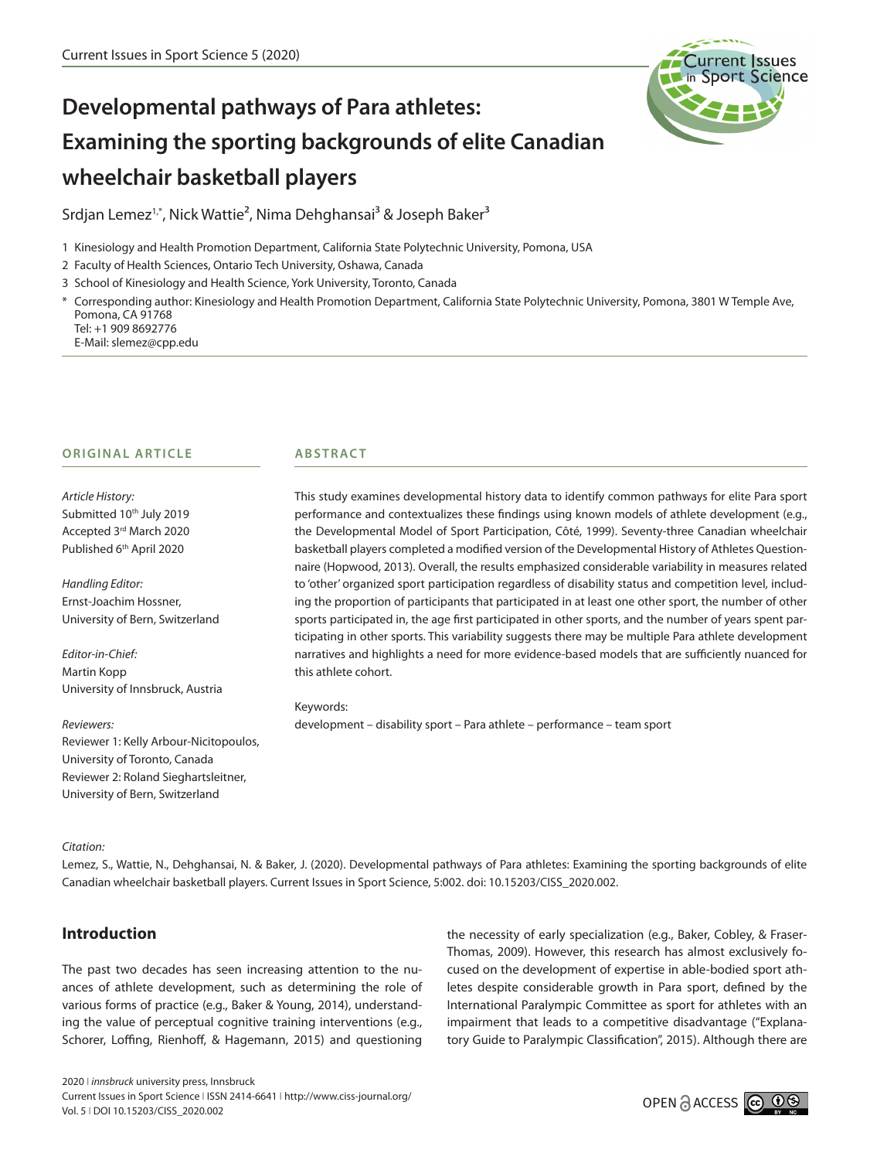

# **Developmental pathways of Para athletes: Examining the sporting backgrounds of elite Canadian wheelchair basketball players**

Srdjan Lemez<sup>1,\*</sup>, Nick Wattie<sup>2</sup>, Nima Dehghansai<sup>3</sup> & Joseph Baker<sup>3</sup>

1 Kinesiology and Health Promotion Department, California State Polytechnic University, Pomona, USA

- 2 Faculty of Health Sciences, Ontario Tech University, Oshawa, Canada
- 3 School of Kinesiology and Health Science, York University, Toronto, Canada

\* Corresponding author: Kinesiology and Health Promotion Department, California State Polytechnic University, Pomona, 3801 W Temple Ave, Pomona, CA 91768 Tel: +1 909 8692776

E-Mail: slemez@cpp.edu

#### **ORIGINAL ARTICLE**

*Article History:* Submitted 10<sup>th</sup> July 2019 Accepted 3rd March 2020 Published 6<sup>th</sup> April 2020

*Handling Editor:* Ernst-Joachim Hossner, University of Bern, Switzerland

*Editor-in-Chief:* Martin Kopp University of Innsbruck, Austria

*Reviewers:*

Reviewer 1: Kelly Arbour-Nicitopoulos, University of Toronto, Canada Reviewer 2: Roland Sieghartsleitner, University of Bern, Switzerland

#### **ABSTRACT**

This study examines developmental history data to identify common pathways for elite Para sport performance and contextualizes these findings using known models of athlete development (e.g., the Developmental Model of Sport Participation, Côté, 1999). Seventy-three Canadian wheelchair basketball players completed a modified version of the Developmental History of Athletes Questionnaire (Hopwood, 2013). Overall, the results emphasized considerable variability in measures related to 'other' organized sport participation regardless of disability status and competition level, including the proportion of participants that participated in at least one other sport, the number of other sports participated in, the age first participated in other sports, and the number of years spent participating in other sports. This variability suggests there may be multiple Para athlete development narratives and highlights a need for more evidence-based models that are sufficiently nuanced for this athlete cohort.

#### Keywords:

development – disability sport – Para athlete – performance – team sport

#### *Citation:*

Lemez, S., Wattie, N., Dehghansai, N. & Baker, J. (2020). Developmental pathways of Para athletes: Examining the sporting backgrounds of elite Canadian wheelchair basketball players. Current Issues in Sport Science, 5:002. doi: 10.15203/CISS\_2020.002.

## **Introduction**

The past two decades has seen increasing attention to the nuances of athlete development, such as determining the role of various forms of practice (e.g., Baker & Young, 2014), understanding the value of perceptual cognitive training interventions (e.g., Schorer, Loffing, Rienhoff, & Hagemann, 2015) and questioning

the necessity of early specialization (e.g., Baker, Cobley, & Fraser-Thomas, 2009). However, this research has almost exclusively focused on the development of expertise in able-bodied sport athletes despite considerable growth in Para sport, defined by the International Paralympic Committee as sport for athletes with an impairment that leads to a competitive disadvantage ("Explanatory Guide to Paralympic Classification", 2015). Although there are

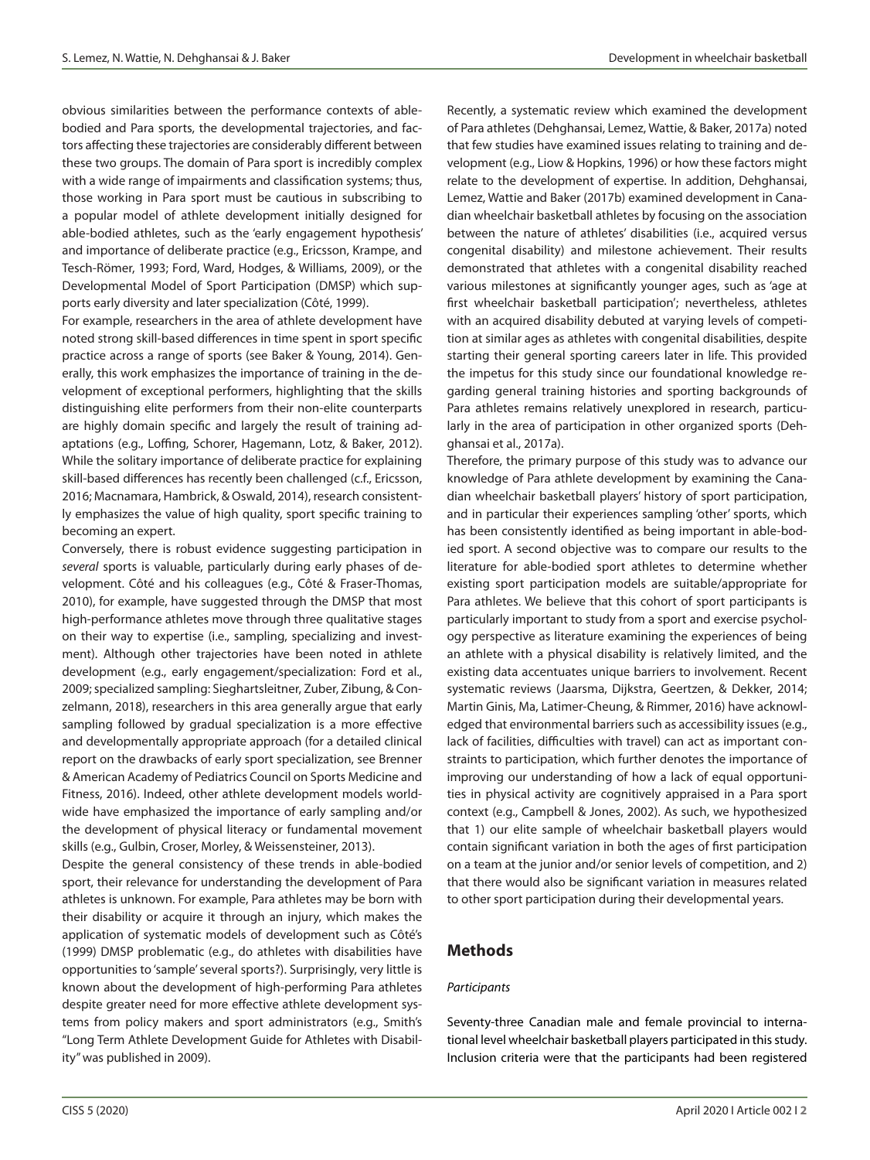obvious similarities between the performance contexts of ablebodied and Para sports, the developmental trajectories, and factors affecting these trajectories are considerably different between these two groups. The domain of Para sport is incredibly complex with a wide range of impairments and classification systems; thus, those working in Para sport must be cautious in subscribing to a popular model of athlete development initially designed for able-bodied athletes, such as the 'early engagement hypothesis' and importance of deliberate practice (e.g., Ericsson, Krampe, and Tesch-Römer, 1993; Ford, Ward, Hodges, & Williams, 2009), or the Developmental Model of Sport Participation (DMSP) which supports early diversity and later specialization (Côté, 1999).

For example, researchers in the area of athlete development have noted strong skill-based differences in time spent in sport specific practice across a range of sports (see Baker & Young, 2014). Generally, this work emphasizes the importance of training in the development of exceptional performers, highlighting that the skills distinguishing elite performers from their non-elite counterparts are highly domain specific and largely the result of training adaptations (e.g., Loffing, Schorer, Hagemann, Lotz, & Baker, 2012). While the solitary importance of deliberate practice for explaining skill-based differences has recently been challenged (c.f., Ericsson, 2016; Macnamara, Hambrick, & Oswald, 2014), research consistently emphasizes the value of high quality, sport specific training to becoming an expert.

Conversely, there is robust evidence suggesting participation in *several* sports is valuable, particularly during early phases of development. Côté and his colleagues (e.g., Côté & Fraser-Thomas, 2010), for example, have suggested through the DMSP that most high-performance athletes move through three qualitative stages on their way to expertise (i.e., sampling, specializing and investment). Although other trajectories have been noted in athlete development (e.g., early engagement/specialization: Ford et al., 2009; specialized sampling: Sieghartsleitner, Zuber, Zibung, & Conzelmann, 2018), researchers in this area generally argue that early sampling followed by gradual specialization is a more effective and developmentally appropriate approach (for a detailed clinical report on the drawbacks of early sport specialization, see Brenner & American Academy of Pediatrics Council on Sports Medicine and Fitness, 2016). Indeed, other athlete development models worldwide have emphasized the importance of early sampling and/or the development of physical literacy or fundamental movement skills (e.g., Gulbin, Croser, Morley, & Weissensteiner, 2013).

Despite the general consistency of these trends in able-bodied sport, their relevance for understanding the development of Para athletes is unknown. For example, Para athletes may be born with their disability or acquire it through an injury, which makes the application of systematic models of development such as Côté's (1999) DMSP problematic (e.g., do athletes with disabilities have opportunities to 'sample' several sports?). Surprisingly, very little is known about the development of high-performing Para athletes despite greater need for more effective athlete development systems from policy makers and sport administrators (e.g., Smith's "Long Term Athlete Development Guide for Athletes with Disability" was published in 2009).

Recently, a systematic review which examined the development of Para athletes (Dehghansai, Lemez, Wattie, & Baker, 2017a) noted that few studies have examined issues relating to training and development (e.g., Liow & Hopkins, 1996) or how these factors might relate to the development of expertise. In addition, Dehghansai, Lemez, Wattie and Baker (2017b) examined development in Canadian wheelchair basketball athletes by focusing on the association between the nature of athletes' disabilities (i.e., acquired versus congenital disability) and milestone achievement. Their results demonstrated that athletes with a congenital disability reached various milestones at significantly younger ages, such as 'age at first wheelchair basketball participation'; nevertheless, athletes with an acquired disability debuted at varying levels of competition at similar ages as athletes with congenital disabilities, despite starting their general sporting careers later in life. This provided the impetus for this study since our foundational knowledge regarding general training histories and sporting backgrounds of Para athletes remains relatively unexplored in research, particularly in the area of participation in other organized sports (Dehghansai et al., 2017a).

Therefore, the primary purpose of this study was to advance our knowledge of Para athlete development by examining the Canadian wheelchair basketball players' history of sport participation, and in particular their experiences sampling 'other' sports, which has been consistently identified as being important in able-bodied sport. A second objective was to compare our results to the literature for able-bodied sport athletes to determine whether existing sport participation models are suitable/appropriate for Para athletes. We believe that this cohort of sport participants is particularly important to study from a sport and exercise psychology perspective as literature examining the experiences of being an athlete with a physical disability is relatively limited, and the existing data accentuates unique barriers to involvement. Recent systematic reviews (Jaarsma, Dijkstra, Geertzen, & Dekker, 2014; Martin Ginis, Ma, Latimer-Cheung, & Rimmer, 2016) have acknowledged that environmental barriers such as accessibility issues (e.g., lack of facilities, difficulties with travel) can act as important constraints to participation, which further denotes the importance of improving our understanding of how a lack of equal opportunities in physical activity are cognitively appraised in a Para sport context (e.g., Campbell & Jones, 2002). As such, we hypothesized that 1) our elite sample of wheelchair basketball players would contain significant variation in both the ages of first participation on a team at the junior and/or senior levels of competition, and 2) that there would also be significant variation in measures related to other sport participation during their developmental years.

## **Methods**

#### *Participants*

Seventy-three Canadian male and female provincial to international level wheelchair basketball players participated in this study. Inclusion criteria were that the participants had been registered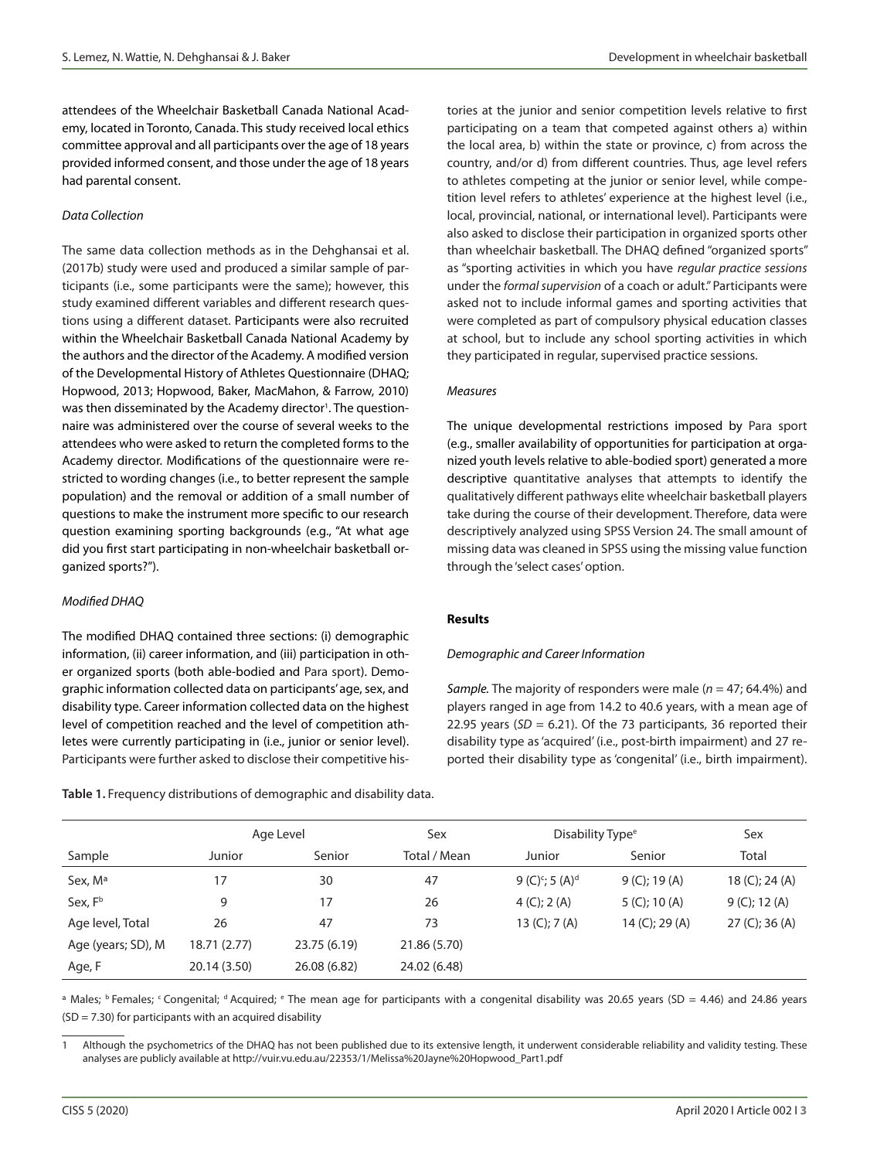attendees of the Wheelchair Basketball Canada National Academy, located in Toronto, Canada. This study received local ethics committee approval and all participants over the age of 18 years provided informed consent, and those under the age of 18 years had parental consent.

#### *Data Collection*

The same data collection methods as in the Dehghansai et al. (2017b) study were used and produced a similar sample of participants (i.e., some participants were the same); however, this study examined different variables and different research questions using a different dataset. Participants were also recruited within the Wheelchair Basketball Canada National Academy by the authors and the director of the Academy. A modified version of the Developmental History of Athletes Questionnaire (DHAQ; Hopwood, 2013; Hopwood, Baker, MacMahon, & Farrow, 2010) was then disseminated by the Academy director<sup>1</sup>. The questionnaire was administered over the course of several weeks to the attendees who were asked to return the completed forms to the Academy director. Modifications of the questionnaire were restricted to wording changes (i.e., to better represent the sample population) and the removal or addition of a small number of questions to make the instrument more specific to our research question examining sporting backgrounds (e.g., "At what age did you first start participating in non-wheelchair basketball organized sports?").

#### *Modified DHAQ*

The modified DHAQ contained three sections: (i) demographic information, (ii) career information, and (iii) participation in other organized sports (both able-bodied and Para sport). Demographic information collected data on participants' age, sex, and disability type. Career information collected data on the highest level of competition reached and the level of competition athletes were currently participating in (i.e., junior or senior level). Participants were further asked to disclose their competitive his-

**Table 1.** Frequency distributions of demographic and disability data.

tories at the junior and senior competition levels relative to first participating on a team that competed against others a) within the local area, b) within the state or province, c) from across the country, and/or d) from different countries. Thus, age level refers to athletes competing at the junior or senior level, while competition level refers to athletes' experience at the highest level (i.e., local, provincial, national, or international level). Participants were also asked to disclose their participation in organized sports other than wheelchair basketball. The DHAQ defined "organized sports" as "sporting activities in which you have *regular practice sessions* under the *formal supervision* of a coach or adult." Participants were asked not to include informal games and sporting activities that were completed as part of compulsory physical education classes at school, but to include any school sporting activities in which they participated in regular, supervised practice sessions.

#### *Measures*

The unique developmental restrictions imposed by Para sport (e.g., smaller availability of opportunities for participation at organized youth levels relative to able-bodied sport) generated a more descriptive quantitative analyses that attempts to identify the qualitatively different pathways elite wheelchair basketball players take during the course of their development. Therefore, data were descriptively analyzed using SPSS Version 24. The small amount of missing data was cleaned in SPSS using the missing value function through the 'select cases' option.

#### **Results**

#### *Demographic and Career Information*

*Sample.* The majority of responders were male (*n* = 47; 64.4%) and players ranged in age from 14.2 to 40.6 years, with a mean age of 22.95 years ( $SD = 6.21$ ). Of the 73 participants, 36 reported their disability type as 'acquired' (i.e., post-birth impairment) and 27 reported their disability type as 'congenital' (i.e., birth impairment).

|                     | Age Level    |              | Sex          | Disability Type <sup>e</sup>            | Sex              |                   |  |
|---------------------|--------------|--------------|--------------|-----------------------------------------|------------------|-------------------|--|
| Sample              | Junior       | Senior       | Total / Mean | Junior<br>Senior                        |                  | Total             |  |
| Sex, M <sup>a</sup> | 17           | 30           | 47           | 9 (C) <sup>c</sup> ; 5 (A) <sup>d</sup> | $9 (C)$ ; 19 (A) | 18 (C); 24 (A)    |  |
| Sex, Fb             | 9            | 17           | 26           | $4 (C)$ ; 2 (A)                         | $5 (C)$ ; 10 (A) | $9 (C)$ ; 12 (A)  |  |
| Age level, Total    | 26           | 47           | 73           | 13 $(C); 7(A)$                          | 14 (C); 29 (A)   | $27 (C)$ ; 36 (A) |  |
| Age (years; SD), M  | 18.71 (2.77) | 23.75 (6.19) | 21.86 (5.70) |                                         |                  |                   |  |
| Age, F              | 20.14 (3.50) | 26.08 (6.82) | 24.02 (6.48) |                                         |                  |                   |  |

a Males; b Females; Congenital; d Acquired; e The mean age for participants with a congenital disability was 20.65 years (SD = 4.46) and 24.86 years  $(SD = 7.30)$  for participants with an acquired disability

Although the psychometrics of the DHAQ has not been published due to its extensive length, it underwent considerable reliability and validity testing. These analyses are publicly available at http://vuir.vu.edu.au/22353/1/Melissa%20Jayne%20Hopwood\_Part1.pdf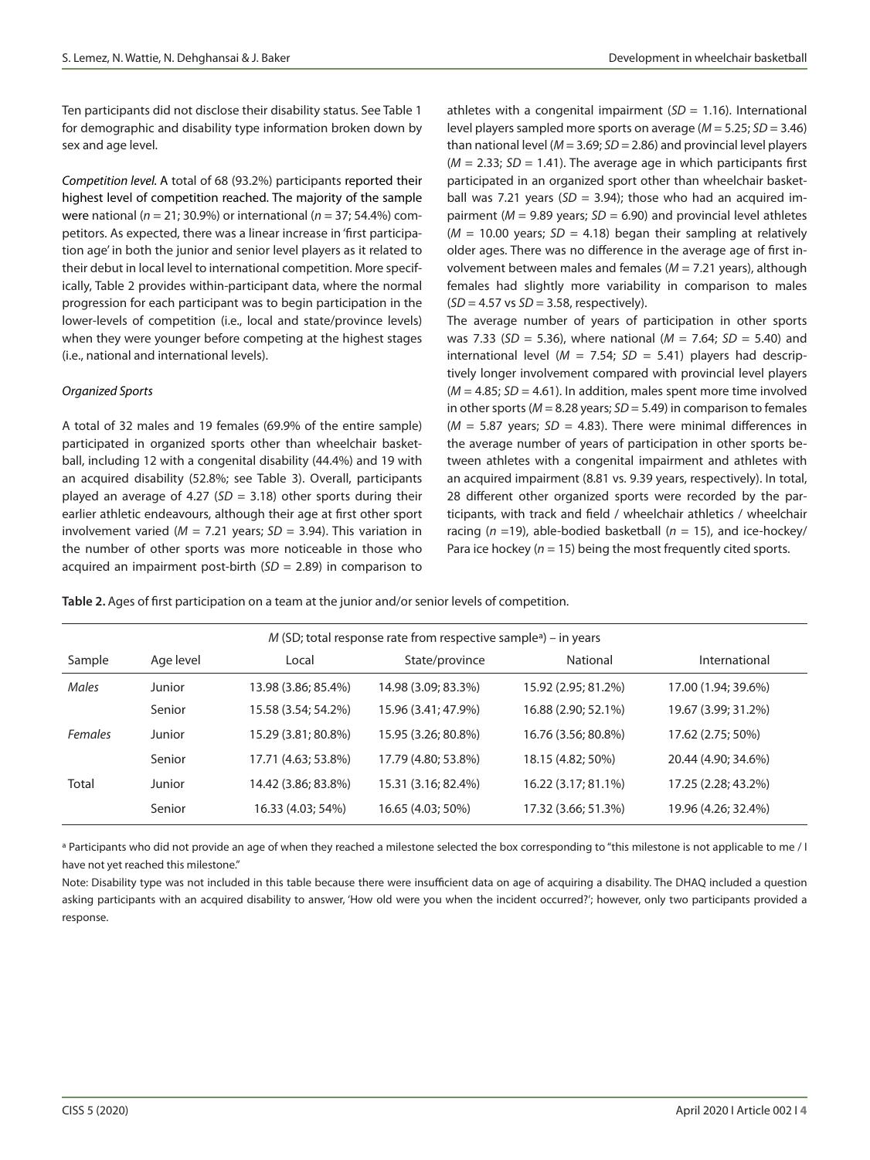Ten participants did not disclose their disability status. See Table 1 for demographic and disability type information broken down by sex and age level.

*Competition level.* A total of 68 (93.2%) participants reported their highest level of competition reached. The majority of the sample were national (*n* = 21; 30.9%) or international (*n* = 37; 54.4%) competitors. As expected, there was a linear increase in 'first participation age' in both the junior and senior level players as it related to their debut in local level to international competition. More specifically, Table 2 provides within-participant data, where the normal progression for each participant was to begin participation in the lower-levels of competition (i.e., local and state/province levels) when they were younger before competing at the highest stages (i.e., national and international levels).

#### *Organized Sports*

A total of 32 males and 19 females (69.9% of the entire sample) participated in organized sports other than wheelchair basketball, including 12 with a congenital disability (44.4%) and 19 with an acquired disability (52.8%; see Table 3). Overall, participants played an average of 4.27 (*SD* = 3.18) other sports during their earlier athletic endeavours, although their age at first other sport involvement varied (*M* = 7.21 years; *SD* = 3.94). This variation in the number of other sports was more noticeable in those who acquired an impairment post-birth (*SD* = 2.89) in comparison to athletes with a congenital impairment (*SD* = 1.16). International level players sampled more sports on average (*M* = 5.25; *SD* = 3.46) than national level (*M* = 3.69; *SD* = 2.86) and provincial level players  $(M = 2.33; SD = 1.41)$ . The average age in which participants first participated in an organized sport other than wheelchair basketball was 7.21 years (*SD* = 3.94); those who had an acquired impairment (*M* = 9.89 years; *SD* = 6.90) and provincial level athletes  $(M = 10.00$  years;  $SD = 4.18$ ) began their sampling at relatively older ages. There was no difference in the average age of first involvement between males and females ( $M = 7.21$  years), although females had slightly more variability in comparison to males (*SD* = 4.57 vs *SD* = 3.58, respectively).

The average number of years of participation in other sports was 7.33 (*SD* = 5.36), where national (*M* = 7.64; *SD* = 5.40) and international level ( $M = 7.54$ ;  $SD = 5.41$ ) players had descriptively longer involvement compared with provincial level players  $(M = 4.85; SD = 4.61)$ . In addition, males spent more time involved in other sports (*M* = 8.28 years; *SD* = 5.49) in comparison to females  $(M = 5.87$  years;  $SD = 4.83$ ). There were minimal differences in the average number of years of participation in other sports between athletes with a congenital impairment and athletes with an acquired impairment (8.81 vs. 9.39 years, respectively). In total, 28 different other organized sports were recorded by the participants, with track and field / wheelchair athletics / wheelchair racing (*n* =19), able-bodied basketball (*n* = 15), and ice-hockey/ Para ice hockey ( $n = 15$ ) being the most frequently cited sports.

**Table 2.** Ages of first participation on a team at the junior and/or senior levels of competition.

| $M$ (SD; total response rate from respective sample <sup>a</sup> ) – in years |           |                     |                     |                     |                     |  |  |  |  |
|-------------------------------------------------------------------------------|-----------|---------------------|---------------------|---------------------|---------------------|--|--|--|--|
| Sample                                                                        | Age level | Local               | State/province      | National            | International       |  |  |  |  |
| Males                                                                         | Junior    | 13.98 (3.86; 85.4%) | 14.98 (3.09; 83.3%) | 15.92 (2.95; 81.2%) | 17.00 (1.94; 39.6%) |  |  |  |  |
|                                                                               | Senior    | 15.58 (3.54; 54.2%) | 15.96 (3.41; 47.9%) | 16.88 (2.90; 52.1%) | 19.67 (3.99; 31.2%) |  |  |  |  |
| Females                                                                       | Junior    | 15.29 (3.81; 80.8%) | 15.95 (3.26; 80.8%) | 16.76 (3.56; 80.8%) | 17.62 (2.75; 50%)   |  |  |  |  |
|                                                                               | Senior    | 17.71 (4.63; 53.8%) | 17.79 (4.80; 53.8%) | 18.15 (4.82; 50%)   | 20.44 (4.90; 34.6%) |  |  |  |  |
| Total                                                                         | Junior    | 14.42 (3.86; 83.8%) | 15.31 (3.16; 82.4%) | 16.22 (3.17; 81.1%) | 17.25 (2.28; 43.2%) |  |  |  |  |
|                                                                               | Senior    | 16.33 (4.03; 54%)   | 16.65 (4.03; 50%)   | 17.32 (3.66; 51.3%) | 19.96 (4.26; 32.4%) |  |  |  |  |

<sup>a</sup> Participants who did not provide an age of when they reached a milestone selected the box corresponding to "this milestone is not applicable to me / I have not yet reached this milestone."

Note: Disability type was not included in this table because there were insufficient data on age of acquiring a disability. The DHAQ included a question asking participants with an acquired disability to answer, 'How old were you when the incident occurred?'; however, only two participants provided a response.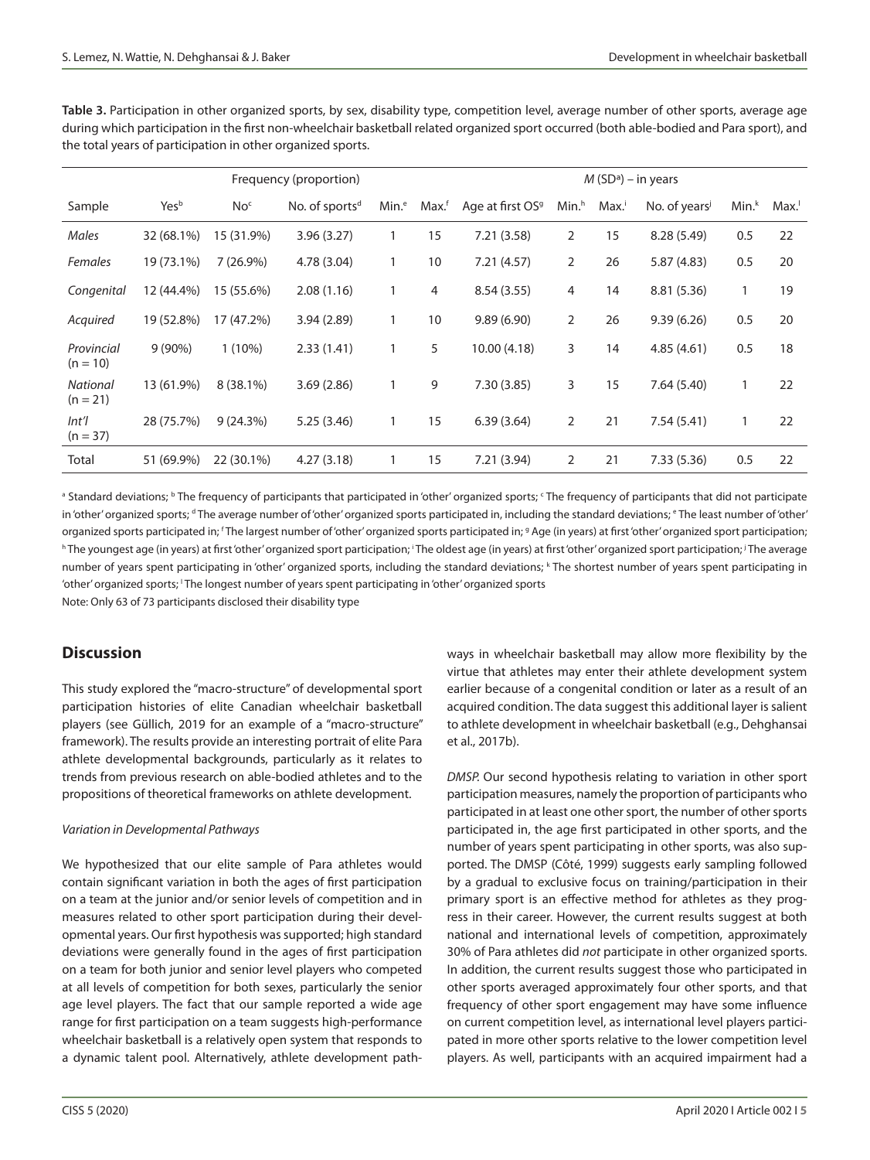**Table 3.** Participation in other organized sports, by sex, disability type, competition level, average number of other sports, average age during which participation in the first non-wheelchair basketball related organized sport occurred (both able-bodied and Para sport), and the total years of participation in other organized sports.

|                               | Frequency (proportion) |                 |                            |                   | $M(SDa)$ – in years |                              |                   |                   |                           |         |      |
|-------------------------------|------------------------|-----------------|----------------------------|-------------------|---------------------|------------------------------|-------------------|-------------------|---------------------------|---------|------|
| Sample                        | Yesb                   | No <sup>c</sup> | No. of sports <sup>d</sup> | Min. <sup>e</sup> | Max. <sup>f</sup>   | Age at first OS <sup>9</sup> | Min. <sup>h</sup> | Max. <sup>i</sup> | No. of years <sup>j</sup> | $Min.*$ | Max. |
| Males                         | 32 (68.1%)             | 15 (31.9%)      | 3.96(3.27)                 | 1                 | 15                  | 7.21(3.58)                   | $\overline{2}$    | 15                | 8.28 (5.49)               | 0.5     | 22   |
| <b>Females</b>                | 19 (73.1%)             | $7(26.9\%)$     | 4.78 (3.04)                | 1                 | 10                  | 7.21(4.57)                   | $\overline{2}$    | 26                | 5.87(4.83)                | 0.5     | 20   |
| Congenital                    | 12 (44.4%)             | 15 (55.6%)      | 2.08(1.16)                 | 1                 | 4                   | 8.54(3.55)                   | 4                 | 14                | 8.81 (5.36)               |         | 19   |
| Acquired                      | 19 (52.8%)             | 17 (47.2%)      | 3.94(2.89)                 | 1                 | 10                  | 9.89(6.90)                   | $\overline{2}$    | 26                | 9.39(6.26)                | 0.5     | 20   |
| Provincial<br>$(n = 10)$      | $9(90\%)$              | $1(10\%)$       | 2.33(1.41)                 |                   | 5                   | 10.00 (4.18)                 | 3                 | 14                | 4.85(4.61)                | 0.5     | 18   |
| <b>National</b><br>$(n = 21)$ | 13 (61.9%)             | $8(38.1\%)$     | 3.69(2.86)                 |                   | 9                   | 7.30(3.85)                   | 3                 | 15                | 7.64(5.40)                |         | 22   |
| Int<br>$(n = 37)$             | 28 (75.7%)             | 9(24.3%)        | 5.25(3.46)                 | 1                 | 15                  | 6.39(3.64)                   | $\overline{2}$    | 21                | 7.54(5.41)                | 1       | 22   |
| Total                         | 51 (69.9%)             | 22 (30.1%)      | 4.27(3.18)                 |                   | 15                  | 7.21(3.94)                   | $\overline{2}$    | 21                | 7.33(5.36)                | 0.5     | 22   |

<sup>a</sup> Standard deviations; <sup>b</sup> The frequency of participants that participated in 'other' organized sports; <sup>c</sup> The frequency of participants that did not participate in 'other' organized sports; <sup>a</sup> The average number of 'other' organized sports participated in, including the standard deviations; <sup>e</sup> The least number of 'other' organized sports participated in; <sup>r</sup>The largest number of 'other' organized sports participated in; <sup>g</sup> Age (in years) at first 'other' organized sport participation; h The youngest age (in years) at first 'other' organized sport participation; <sup>;</sup> The oldest age (in years) at first 'other' organized sport participation; <sup>;</sup> The average number of years spent participating in 'other' organized sports, including the standard deviations; k The shortest number of years spent participating in 'other' organized sports; <sup>1</sup> The longest number of years spent participating in 'other' organized sports

Note: Only 63 of 73 participants disclosed their disability type

## **Discussion**

This study explored the "macro-structure" of developmental sport participation histories of elite Canadian wheelchair basketball players (see Güllich, 2019 for an example of a "macro-structure" framework). The results provide an interesting portrait of elite Para athlete developmental backgrounds, particularly as it relates to trends from previous research on able-bodied athletes and to the propositions of theoretical frameworks on athlete development.

#### *Variation in Developmental Pathways*

We hypothesized that our elite sample of Para athletes would contain significant variation in both the ages of first participation on a team at the junior and/or senior levels of competition and in measures related to other sport participation during their developmental years. Our first hypothesis was supported; high standard deviations were generally found in the ages of first participation on a team for both junior and senior level players who competed at all levels of competition for both sexes, particularly the senior age level players. The fact that our sample reported a wide age range for first participation on a team suggests high-performance wheelchair basketball is a relatively open system that responds to a dynamic talent pool. Alternatively, athlete development pathways in wheelchair basketball may allow more flexibility by the virtue that athletes may enter their athlete development system earlier because of a congenital condition or later as a result of an acquired condition. The data suggest this additional layer is salient to athlete development in wheelchair basketball (e.g., Dehghansai et al., 2017b).

*DMSP.* Our second hypothesis relating to variation in other sport participation measures, namely the proportion of participants who participated in at least one other sport, the number of other sports participated in, the age first participated in other sports, and the number of years spent participating in other sports, was also supported. The DMSP (Côté, 1999) suggests early sampling followed by a gradual to exclusive focus on training/participation in their primary sport is an effective method for athletes as they progress in their career. However, the current results suggest at both national and international levels of competition, approximately 30% of Para athletes did *not* participate in other organized sports. In addition, the current results suggest those who participated in other sports averaged approximately four other sports, and that frequency of other sport engagement may have some influence on current competition level, as international level players participated in more other sports relative to the lower competition level players. As well, participants with an acquired impairment had a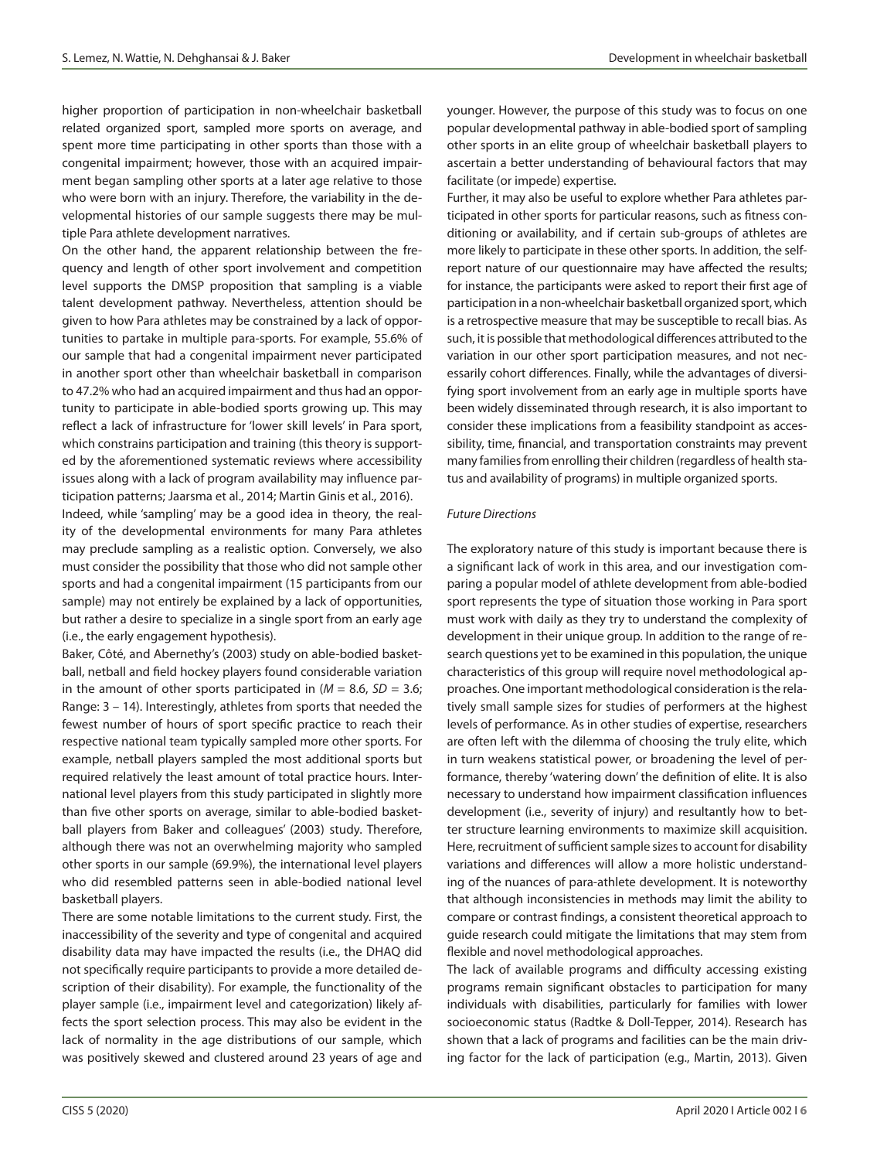higher proportion of participation in non-wheelchair basketball related organized sport, sampled more sports on average, and spent more time participating in other sports than those with a congenital impairment; however, those with an acquired impairment began sampling other sports at a later age relative to those who were born with an injury. Therefore, the variability in the developmental histories of our sample suggests there may be multiple Para athlete development narratives.

On the other hand, the apparent relationship between the frequency and length of other sport involvement and competition level supports the DMSP proposition that sampling is a viable talent development pathway. Nevertheless, attention should be given to how Para athletes may be constrained by a lack of opportunities to partake in multiple para-sports. For example, 55.6% of our sample that had a congenital impairment never participated in another sport other than wheelchair basketball in comparison to 47.2% who had an acquired impairment and thus had an opportunity to participate in able-bodied sports growing up. This may reflect a lack of infrastructure for 'lower skill levels' in Para sport, which constrains participation and training (this theory is supported by the aforementioned systematic reviews where accessibility issues along with a lack of program availability may influence participation patterns; Jaarsma et al., 2014; Martin Ginis et al., 2016).

Indeed, while 'sampling' may be a good idea in theory, the reality of the developmental environments for many Para athletes may preclude sampling as a realistic option. Conversely, we also must consider the possibility that those who did not sample other sports and had a congenital impairment (15 participants from our sample) may not entirely be explained by a lack of opportunities, but rather a desire to specialize in a single sport from an early age (i.e., the early engagement hypothesis).

Baker, Côté, and Abernethy's (2003) study on able-bodied basketball, netball and field hockey players found considerable variation in the amount of other sports participated in  $(M = 8.6, SD = 3.6;$ Range: 3 – 14). Interestingly, athletes from sports that needed the fewest number of hours of sport specific practice to reach their respective national team typically sampled more other sports. For example, netball players sampled the most additional sports but required relatively the least amount of total practice hours. International level players from this study participated in slightly more than five other sports on average, similar to able-bodied basketball players from Baker and colleagues' (2003) study. Therefore, although there was not an overwhelming majority who sampled other sports in our sample (69.9%), the international level players who did resembled patterns seen in able-bodied national level basketball players.

There are some notable limitations to the current study. First, the inaccessibility of the severity and type of congenital and acquired disability data may have impacted the results (i.e., the DHAQ did not specifically require participants to provide a more detailed description of their disability). For example, the functionality of the player sample (i.e., impairment level and categorization) likely affects the sport selection process. This may also be evident in the lack of normality in the age distributions of our sample, which was positively skewed and clustered around 23 years of age and

younger. However, the purpose of this study was to focus on one popular developmental pathway in able-bodied sport of sampling other sports in an elite group of wheelchair basketball players to ascertain a better understanding of behavioural factors that may facilitate (or impede) expertise.

Further, it may also be useful to explore whether Para athletes participated in other sports for particular reasons, such as fitness conditioning or availability, and if certain sub-groups of athletes are more likely to participate in these other sports. In addition, the selfreport nature of our questionnaire may have affected the results; for instance, the participants were asked to report their first age of participation in a non-wheelchair basketball organized sport, which is a retrospective measure that may be susceptible to recall bias. As such, it is possible that methodological differences attributed to the variation in our other sport participation measures, and not necessarily cohort differences. Finally, while the advantages of diversifying sport involvement from an early age in multiple sports have been widely disseminated through research, it is also important to consider these implications from a feasibility standpoint as accessibility, time, financial, and transportation constraints may prevent many families from enrolling their children (regardless of health status and availability of programs) in multiple organized sports.

#### *Future Directions*

The exploratory nature of this study is important because there is a significant lack of work in this area, and our investigation comparing a popular model of athlete development from able-bodied sport represents the type of situation those working in Para sport must work with daily as they try to understand the complexity of development in their unique group. In addition to the range of research questions yet to be examined in this population, the unique characteristics of this group will require novel methodological approaches. One important methodological consideration is the relatively small sample sizes for studies of performers at the highest levels of performance. As in other studies of expertise, researchers are often left with the dilemma of choosing the truly elite, which in turn weakens statistical power, or broadening the level of performance, thereby 'watering down' the definition of elite. It is also necessary to understand how impairment classification influences development (i.e., severity of injury) and resultantly how to better structure learning environments to maximize skill acquisition. Here, recruitment of sufficient sample sizes to account for disability variations and differences will allow a more holistic understanding of the nuances of para-athlete development. It is noteworthy that although inconsistencies in methods may limit the ability to compare or contrast findings, a consistent theoretical approach to guide research could mitigate the limitations that may stem from flexible and novel methodological approaches.

The lack of available programs and difficulty accessing existing programs remain significant obstacles to participation for many individuals with disabilities, particularly for families with lower socioeconomic status (Radtke & Doll-Tepper, 2014). Research has shown that a lack of programs and facilities can be the main driving factor for the lack of participation (e.g., Martin, 2013). Given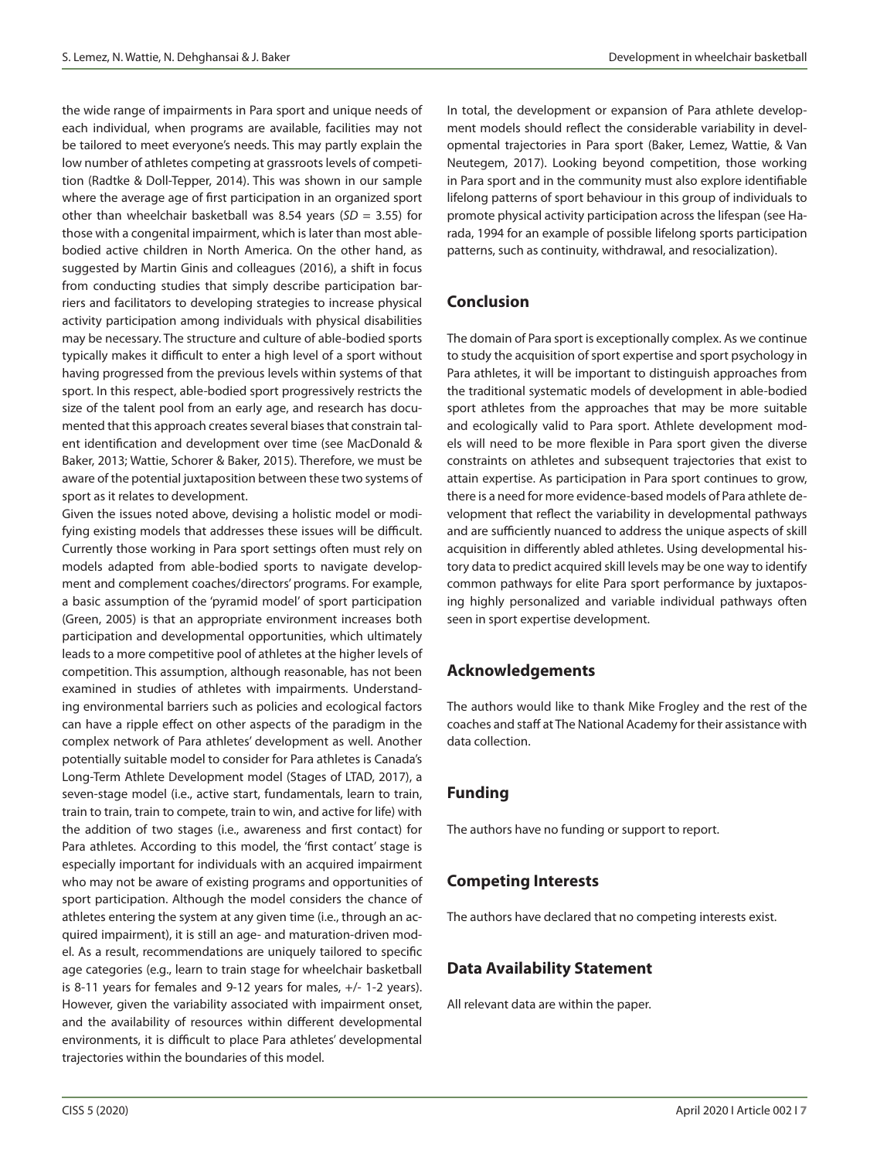the wide range of impairments in Para sport and unique needs of each individual, when programs are available, facilities may not be tailored to meet everyone's needs. This may partly explain the low number of athletes competing at grassroots levels of competition (Radtke & Doll-Tepper, 2014). This was shown in our sample where the average age of first participation in an organized sport other than wheelchair basketball was 8.54 years (*SD* = 3.55) for those with a congenital impairment, which is later than most ablebodied active children in North America. On the other hand, as suggested by Martin Ginis and colleagues (2016), a shift in focus from conducting studies that simply describe participation barriers and facilitators to developing strategies to increase physical activity participation among individuals with physical disabilities may be necessary. The structure and culture of able-bodied sports typically makes it difficult to enter a high level of a sport without having progressed from the previous levels within systems of that sport. In this respect, able-bodied sport progressively restricts the size of the talent pool from an early age, and research has documented that this approach creates several biases that constrain talent identification and development over time (see MacDonald & Baker, 2013; Wattie, Schorer & Baker, 2015). Therefore, we must be aware of the potential juxtaposition between these two systems of sport as it relates to development.

Given the issues noted above, devising a holistic model or modifying existing models that addresses these issues will be difficult. Currently those working in Para sport settings often must rely on models adapted from able-bodied sports to navigate development and complement coaches/directors' programs. For example, a basic assumption of the 'pyramid model' of sport participation (Green, 2005) is that an appropriate environment increases both participation and developmental opportunities, which ultimately leads to a more competitive pool of athletes at the higher levels of competition. This assumption, although reasonable, has not been examined in studies of athletes with impairments. Understanding environmental barriers such as policies and ecological factors can have a ripple effect on other aspects of the paradigm in the complex network of Para athletes' development as well. Another potentially suitable model to consider for Para athletes is Canada's Long-Term Athlete Development model (Stages of LTAD, 2017), a seven-stage model (i.e., active start, fundamentals, learn to train, train to train, train to compete, train to win, and active for life) with the addition of two stages (i.e., awareness and first contact) for Para athletes. According to this model, the 'first contact' stage is especially important for individuals with an acquired impairment who may not be aware of existing programs and opportunities of sport participation. Although the model considers the chance of athletes entering the system at any given time (i.e., through an acquired impairment), it is still an age- and maturation-driven model. As a result, recommendations are uniquely tailored to specific age categories (e.g., learn to train stage for wheelchair basketball is 8-11 years for females and 9-12 years for males, +/- 1-2 years). However, given the variability associated with impairment onset, and the availability of resources within different developmental environments, it is difficult to place Para athletes' developmental trajectories within the boundaries of this model.

In total, the development or expansion of Para athlete development models should reflect the considerable variability in developmental trajectories in Para sport (Baker, Lemez, Wattie, & Van Neutegem, 2017). Looking beyond competition, those working in Para sport and in the community must also explore identifiable lifelong patterns of sport behaviour in this group of individuals to promote physical activity participation across the lifespan (see Harada, 1994 for an example of possible lifelong sports participation patterns, such as continuity, withdrawal, and resocialization).

# **Conclusion**

The domain of Para sport is exceptionally complex. As we continue to study the acquisition of sport expertise and sport psychology in Para athletes, it will be important to distinguish approaches from the traditional systematic models of development in able-bodied sport athletes from the approaches that may be more suitable and ecologically valid to Para sport. Athlete development models will need to be more flexible in Para sport given the diverse constraints on athletes and subsequent trajectories that exist to attain expertise. As participation in Para sport continues to grow, there is a need for more evidence-based models of Para athlete development that reflect the variability in developmental pathways and are sufficiently nuanced to address the unique aspects of skill acquisition in differently abled athletes. Using developmental history data to predict acquired skill levels may be one way to identify common pathways for elite Para sport performance by juxtaposing highly personalized and variable individual pathways often seen in sport expertise development.

# **Acknowledgements**

The authors would like to thank Mike Frogley and the rest of the coaches and staff at The National Academy for their assistance with data collection.

## **Funding**

The authors have no funding or support to report.

## **Competing Interests**

The authors have declared that no competing interests exist.

## **Data Availability Statement**

All relevant data are within the paper.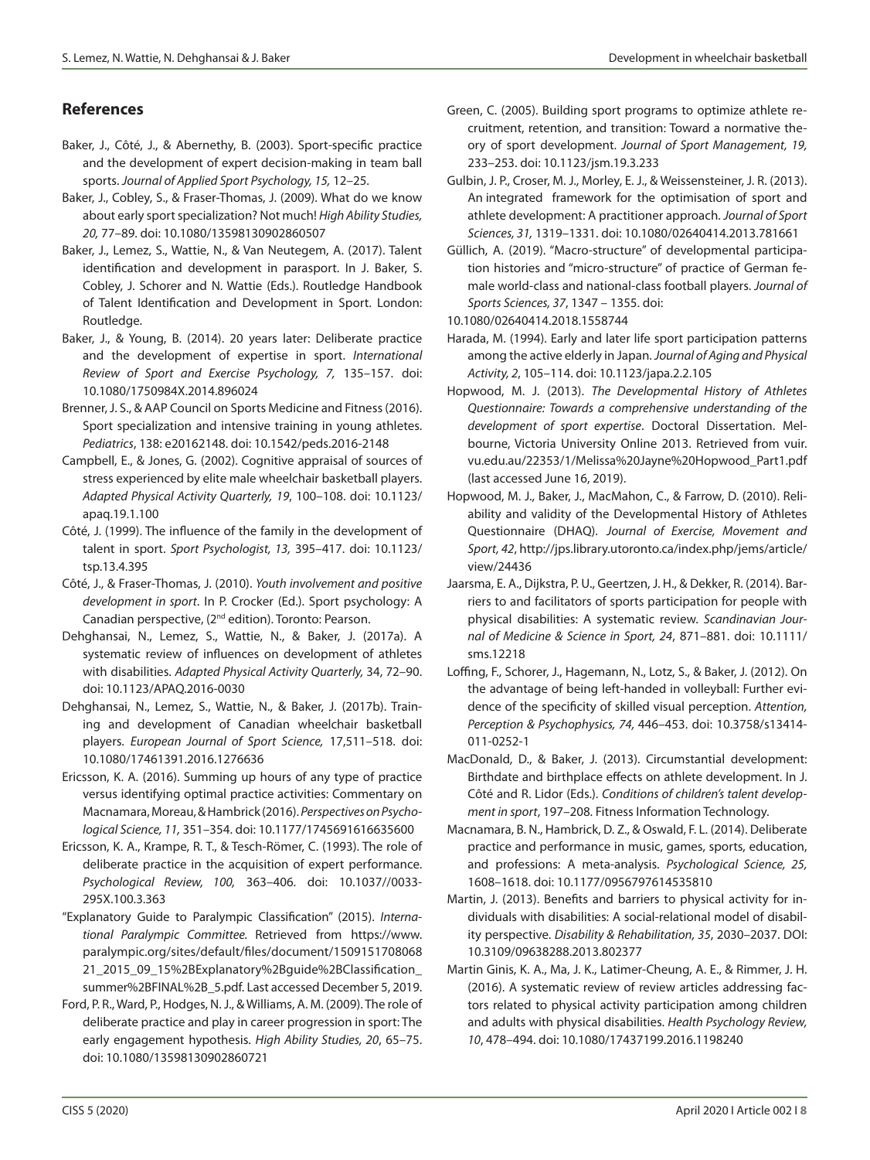# **References**

- Baker, J., Côté, J., & Abernethy, B. (2003). Sport-specific practice and the development of expert decision-making in team ball sports. *Journal of Applied Sport Psychology, 15,* 12–25.
- Baker, J., Cobley, S., & Fraser-Thomas, J. (2009). What do we know about early sport specialization? Not much! *High Ability Studies, 20,* 77–89. doi: 10.1080/13598130902860507
- Baker, J., Lemez, S., Wattie, N., & Van Neutegem, A. (2017). Talent identification and development in parasport. In J. Baker, S. Cobley, J. Schorer and N. Wattie (Eds.). Routledge Handbook of Talent Identification and Development in Sport. London: Routledge.
- Baker, J., & Young, B. (2014). 20 years later: Deliberate practice and the development of expertise in sport. *International Review of Sport and Exercise Psychology, 7,* 135–157. doi: 10.1080/1750984X.2014.896024
- Brenner, J. S., & AAP Council on Sports Medicine and Fitness (2016). Sport specialization and intensive training in young athletes. *Pediatrics*, 138: e20162148. doi: 10.1542/peds.2016-2148
- Campbell, E., & Jones, G. (2002). Cognitive appraisal of sources of stress experienced by elite male wheelchair basketball players. *Adapted Physical Activity Quarterly, 19*, 100–108. doi: 10.1123/ apaq.19.1.100
- Côté, J. (1999). The influence of the family in the development of talent in sport. *Sport Psychologist, 13,* 395–417. doi: 10.1123/ tsp.13.4.395
- Côté, J., & Fraser-Thomas, J. (2010). *Youth involvement and positive development in sport*. In P. Crocker (Ed.). Sport psychology: A Canadian perspective, (2nd edition). Toronto: Pearson.
- Dehghansai, N., Lemez, S., Wattie, N., & Baker, J. (2017a). A systematic review of influences on development of athletes with disabilities. *Adapted Physical Activity Quarterly,* 34, 72–90. doi: 10.1123/APAQ.2016-0030
- Dehghansai, N., Lemez, S., Wattie, N., & Baker, J. (2017b). Training and development of Canadian wheelchair basketball players. *European Journal of Sport Science,* 17,511–518. doi: 10.1080/17461391.2016.1276636
- Ericsson, K. A. (2016). Summing up hours of any type of practice versus identifying optimal practice activities: Commentary on Macnamara, Moreau, & Hambrick (2016). *Perspectives on Psychological Science, 11,* 351–354. doi: 10.1177/1745691616635600
- Ericsson, K. A., Krampe, R. T., & Tesch-Römer, C. (1993). The role of deliberate practice in the acquisition of expert performance. *Psychological Review, 100,* 363–406. doi: 10.1037//0033- 295X.100.3.363
- "Explanatory Guide to Paralympic Classification" (2015). *International Paralympic Committee.* Retrieved from https://www. paralympic.org/sites/default/files/document/1509151708068 21\_2015\_09\_15%2BExplanatory%2Bguide%2BClassification\_ summer%2BFINAL%2B\_5.pdf. Last accessed December 5, 2019.
- Ford, P. R., Ward, P., Hodges, N. J., & Williams, A. M. (2009). The role of deliberate practice and play in career progression in sport: The early engagement hypothesis. *High Ability Studies, 20*, 65–75. doi: 10.1080/13598130902860721
- Green, C. (2005). Building sport programs to optimize athlete recruitment, retention, and transition: Toward a normative theory of sport development. *Journal of Sport Management, 19,* 233–253. doi: 10.1123/jsm.19.3.233
- Gulbin, J. P., Croser, M. J., Morley, E. J., & Weissensteiner, J. R. (2013). An integrated framework for the optimisation of sport and athlete development: A practitioner approach. *Journal of Sport Sciences, 31,* 1319–1331. doi: 10.1080/02640414.2013.781661
- Güllich, A. (2019). "Macro-structure" of developmental participation histories and "micro-structure" of practice of German female world-class and national-class football players. *Journal of Sports Sciences, 37*, 1347 – 1355. doi:

10.1080/02640414.2018.1558744

- Harada, M. (1994). Early and later life sport participation patterns among the active elderly in Japan. *Journal of Aging and Physical Activity, 2*, 105–114. doi: 10.1123/japa.2.2.105
- Hopwood, M. J. (2013). *The Developmental History of Athletes Questionnaire: Towards a comprehensive understanding of the development of sport expertise*. Doctoral Dissertation. Melbourne, Victoria University Online 2013. Retrieved from vuir. vu.edu.au/22353/1/Melissa%20Jayne%20Hopwood\_Part1.pdf (last accessed June 16, 2019).
- Hopwood, M. J., Baker, J., MacMahon, C., & Farrow, D. (2010). Reliability and validity of the Developmental History of Athletes Questionnaire (DHAQ). *Journal of Exercise, Movement and Sport, 42*, http://jps.library.utoronto.ca/index.php/jems/article/ view/24436
- Jaarsma, E. A., Dijkstra, P. U., Geertzen, J. H., & Dekker, R. (2014). Barriers to and facilitators of sports participation for people with physical disabilities: A systematic review. *Scandinavian Journal of Medicine & Science in Sport, 24*, 871–881. doi: 10.1111/ sms.12218
- Loffing, F., Schorer, J., Hagemann, N., Lotz, S., & Baker, J. (2012). On the advantage of being left-handed in volleyball: Further evidence of the specificity of skilled visual perception. *Attention, Perception & Psychophysics, 74,* 446–453. doi: 10.3758/s13414- 011-0252-1
- MacDonald, D., & Baker, J. (2013). Circumstantial development: Birthdate and birthplace effects on athlete development. In J. Côté and R. Lidor (Eds.). *Conditions of children's talent development in sport*, 197–208. Fitness Information Technology.
- Macnamara, B. N., Hambrick, D. Z., & Oswald, F. L. (2014). Deliberate practice and performance in music, games, sports, education, and professions: A meta-analysis. *Psychological Science, 25,* 1608–1618. doi: 10.1177/0956797614535810
- Martin, J. (2013). Benefits and barriers to physical activity for individuals with disabilities: A social-relational model of disability perspective. *Disability & Rehabilitation, 35*, 2030–2037. DOI: 10.3109/09638288.2013.802377
- Martin Ginis, K. A., Ma, J. K., Latimer-Cheung, A. E., & Rimmer, J. H. (2016). A systematic review of review articles addressing factors related to physical activity participation among children and adults with physical disabilities. *Health Psychology Review, 10*, 478–494. doi: 10.1080/17437199.2016.1198240